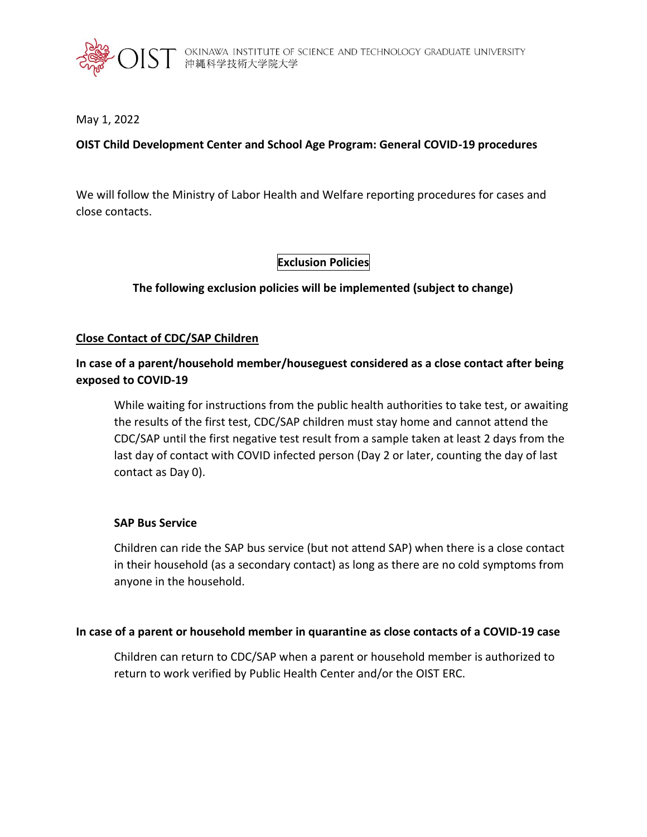

## May 1, 2022

## **OIST Child Development Center and School Age Program: General COVID-19 procedures**

We will follow the Ministry of Labor Health and Welfare reporting procedures for cases and close contacts.

## **Exclusion Policies**

## **The following exclusion policies will be implemented (subject to change)**

## **Close Contact of CDC/SAP Children**

# **In case of a parent/household member/houseguest considered as a close contact after being exposed to COVID-19**

While waiting for instructions from the public health authorities to take test, or awaiting the results of the first test, CDC/SAP children must stay home and cannot attend the CDC/SAP until the first negative test result from a sample taken at least 2 days from the last day of contact with COVID infected person (Day 2 or later, counting the day of last contact as Day 0).

### **SAP Bus Service**

Children can ride the SAP bus service (but not attend SAP) when there is a close contact in their household (as a secondary contact) as long as there are no cold symptoms from anyone in the household.

### **In case of a parent or household member in quarantine as close contacts of a COVID-19 case**

Children can return to CDC/SAP when a parent or household member is authorized to return to work verified by Public Health Center and/or the OIST ERC.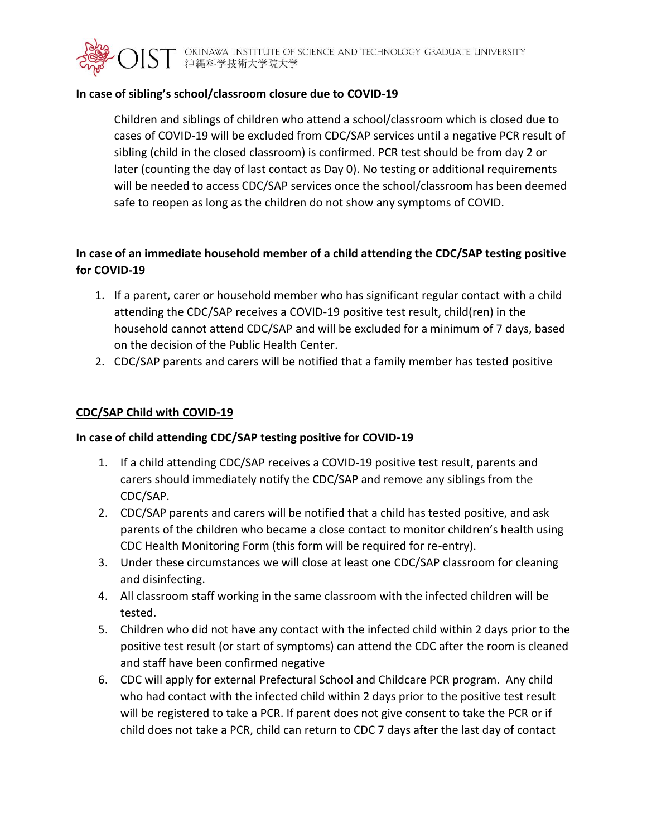

## **In case of sibling's school/classroom closure due to COVID-19**

Children and siblings of children who attend a school/classroom which is closed due to cases of COVID-19 will be excluded from CDC/SAP services until a negative PCR result of sibling (child in the closed classroom) is confirmed. PCR test should be from day 2 or later (counting the day of last contact as Day 0). No testing or additional requirements will be needed to access CDC/SAP services once the school/classroom has been deemed safe to reopen as long as the children do not show any symptoms of COVID.

# **In case of an immediate household member of a child attending the CDC/SAP testing positive for COVID-19**

- 1. If a parent, carer or household member who has significant regular contact with a child attending the CDC/SAP receives a COVID-19 positive test result, child(ren) in the household cannot attend CDC/SAP and will be excluded for a minimum of 7 days, based on the decision of the Public Health Center.
- 2. CDC/SAP parents and carers will be notified that a family member has tested positive

## **CDC/SAP Child with COVID-19**

## **In case of child attending CDC/SAP testing positive for COVID-19**

- 1. If a child attending CDC/SAP receives a COVID-19 positive test result, parents and carers should immediately notify the CDC/SAP and remove any siblings from the CDC/SAP.
- 2. CDC/SAP parents and carers will be notified that a child has tested positive, and ask parents of the children who became a close contact to monitor children's health using CDC Health Monitoring Form (this form will be required for re-entry).
- 3. Under these circumstances we will close at least one CDC/SAP classroom for cleaning and disinfecting.
- 4. All classroom staff working in the same classroom with the infected children will be tested.
- 5. Children who did not have any contact with the infected child within 2 days prior to the positive test result (or start of symptoms) can attend the CDC after the room is cleaned and staff have been confirmed negative
- 6. CDC will apply for external Prefectural School and Childcare PCR program. Any child who had contact with the infected child within 2 days prior to the positive test result will be registered to take a PCR. If parent does not give consent to take the PCR or if child does not take a PCR, child can return to CDC 7 days after the last day of contact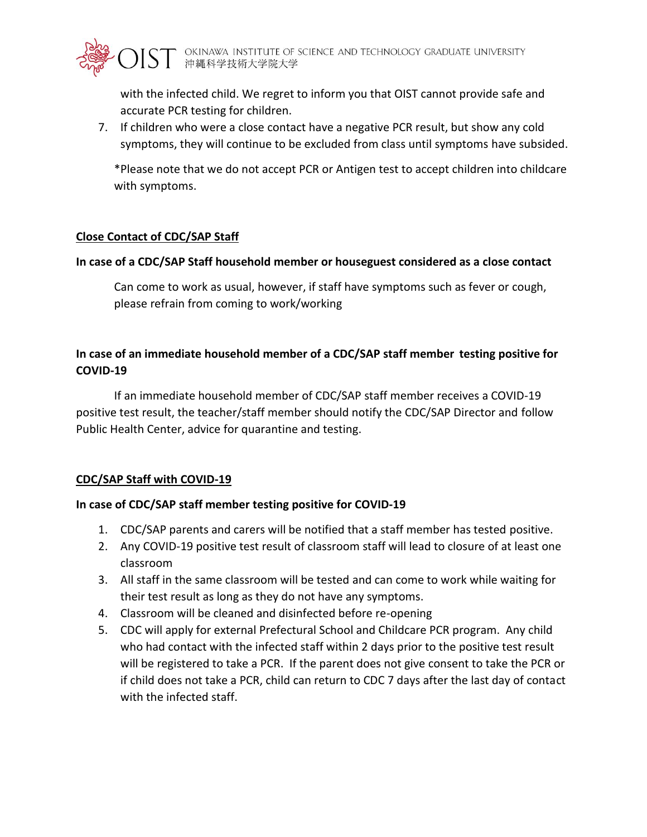

with the infected child. We regret to inform you that OIST cannot provide safe and accurate PCR testing for children.

7. If children who were a close contact have a negative PCR result, but show any cold symptoms, they will continue to be excluded from class until symptoms have subsided.

\*Please note that we do not accept PCR or Antigen test to accept children into childcare with symptoms.

## **Close Contact of CDC/SAP Staff**

## **In case of a CDC/SAP Staff household member or houseguest considered as a close contact**

Can come to work as usual, however, if staff have symptoms such as fever or cough, please refrain from coming to work/working

# **In case of an immediate household member of a CDC/SAP staff member testing positive for COVID-19**

If an immediate household member of CDC/SAP staff member receives a COVID-19 positive test result, the teacher/staff member should notify the CDC/SAP Director and follow Public Health Center, advice for quarantine and testing.

## **CDC/SAP Staff with COVID-19**

## **In case of CDC/SAP staff member testing positive for COVID-19**

- 1. CDC/SAP parents and carers will be notified that a staff member has tested positive.
- 2. Any COVID-19 positive test result of classroom staff will lead to closure of at least one classroom
- 3. All staff in the same classroom will be tested and can come to work while waiting for their test result as long as they do not have any symptoms.
- 4. Classroom will be cleaned and disinfected before re-opening
- 5. CDC will apply for external Prefectural School and Childcare PCR program. Any child who had contact with the infected staff within 2 days prior to the positive test result will be registered to take a PCR. If the parent does not give consent to take the PCR or if child does not take a PCR, child can return to CDC 7 days after the last day of contact with the infected staff.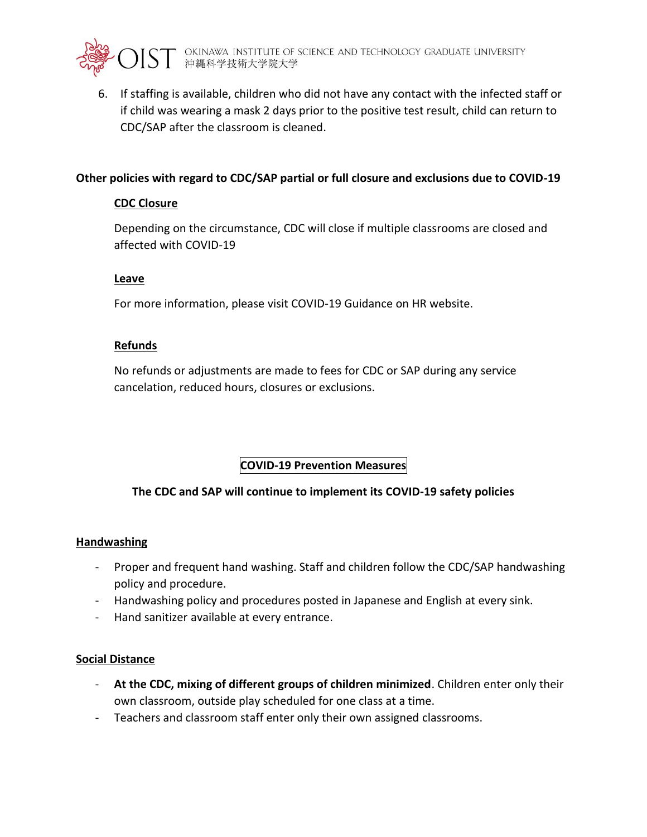

6. If staffing is available, children who did not have any contact with the infected staff or if child was wearing a mask 2 days prior to the positive test result, child can return to CDC/SAP after the classroom is cleaned.

## **Other policies with regard to CDC/SAP partial or full closure and exclusions due to COVID-19**

## **CDC Closure**

Depending on the circumstance, CDC will close if multiple classrooms are closed and affected with COVID-19

## **Leave**

For more information, please visit COVID-19 Guidance on HR website.

## **Refunds**

No refunds or adjustments are made to fees for CDC or SAP during any service cancelation, reduced hours, closures or exclusions.

# **COVID-19 Prevention Measures**

## **The CDC and SAP will continue to implement its COVID-19 safety policies**

## **Handwashing**

- Proper and frequent hand washing. Staff and children follow the CDC/SAP handwashing policy and procedure.
- Handwashing policy and procedures posted in Japanese and English at every sink.
- Hand sanitizer available at every entrance.

## **Social Distance**

- **At the CDC, mixing of different groups of children minimized**. Children enter only their own classroom, outside play scheduled for one class at a time.
- Teachers and classroom staff enter only their own assigned classrooms.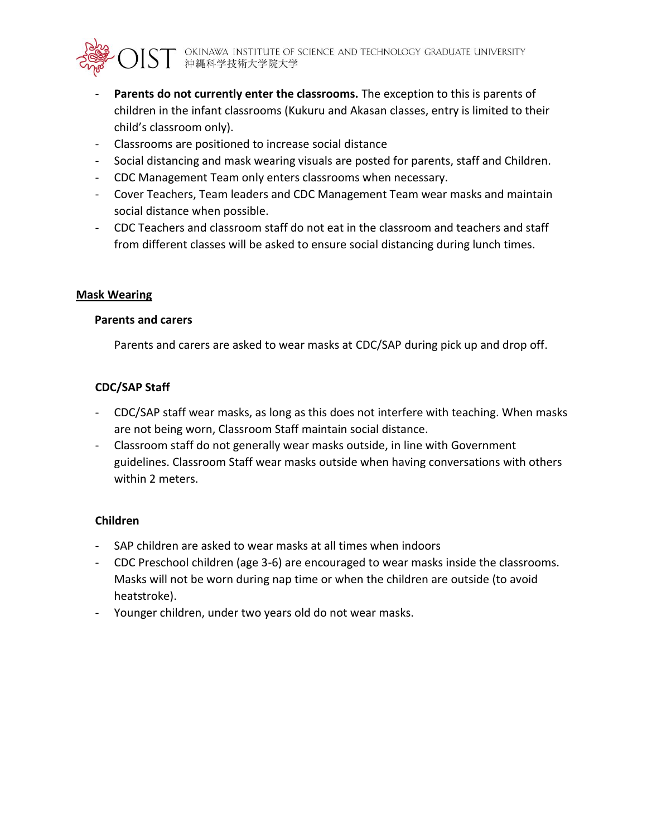- Parents do not currently enter the classrooms. The exception to this is parents of children in the infant classrooms (Kukuru and Akasan classes, entry is limited to their child's classroom only).
- Classrooms are positioned to increase social distance
- Social distancing and mask wearing visuals are posted for parents, staff and Children.
- CDC Management Team only enters classrooms when necessary.
- Cover Teachers, Team leaders and CDC Management Team wear masks and maintain social distance when possible.
- CDC Teachers and classroom staff do not eat in the classroom and teachers and staff from different classes will be asked to ensure social distancing during lunch times.

## **Mask Wearing**

## **Parents and carers**

Parents and carers are asked to wear masks at CDC/SAP during pick up and drop off.

## **CDC/SAP Staff**

- CDC/SAP staff wear masks, as long as this does not interfere with teaching. When masks are not being worn, Classroom Staff maintain social distance.
- Classroom staff do not generally wear masks outside, in line with Government guidelines. Classroom Staff wear masks outside when having conversations with others within 2 meters.

## **Children**

- SAP children are asked to wear masks at all times when indoors
- CDC Preschool children (age 3-6) are encouraged to wear masks inside the classrooms. Masks will not be worn during nap time or when the children are outside (to avoid heatstroke).
- Younger children, under two years old do not wear masks.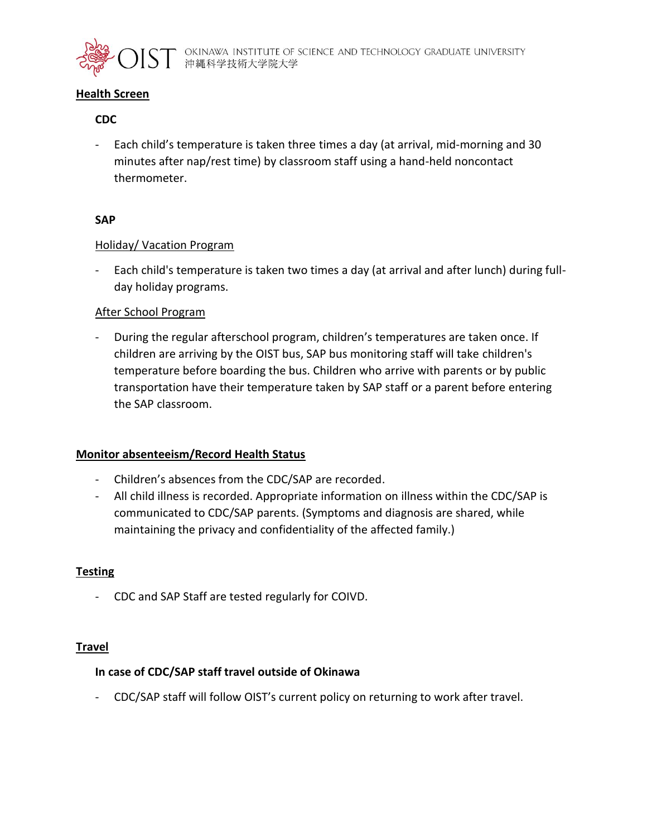

### **Health Screen**

### **CDC**

- Each child's temperature is taken three times a day (at arrival, mid-morning and 30 minutes after nap/rest time) by classroom staff using a hand-held noncontact thermometer.

### **SAP**

### Holiday/ Vacation Program

- Each child's temperature is taken two times a day (at arrival and after lunch) during fullday holiday programs.

### After School Program

- During the regular afterschool program, children's temperatures are taken once. If children are arriving by the OIST bus, SAP bus monitoring staff will take children's temperature before boarding the bus. Children who arrive with parents or by public transportation have their temperature taken by SAP staff or a parent before entering the SAP classroom.

### **Monitor absenteeism/Record Health Status**

- Children's absences from the CDC/SAP are recorded.
- All child illness is recorded. Appropriate information on illness within the CDC/SAP is communicated to CDC/SAP parents. (Symptoms and diagnosis are shared, while maintaining the privacy and confidentiality of the affected family.)

### **Testing**

- CDC and SAP Staff are tested regularly for COIVD.

### **Travel**

### **In case of CDC/SAP staff travel outside of Okinawa**

- CDC/SAP staff will follow OIST's current policy on returning to work after travel.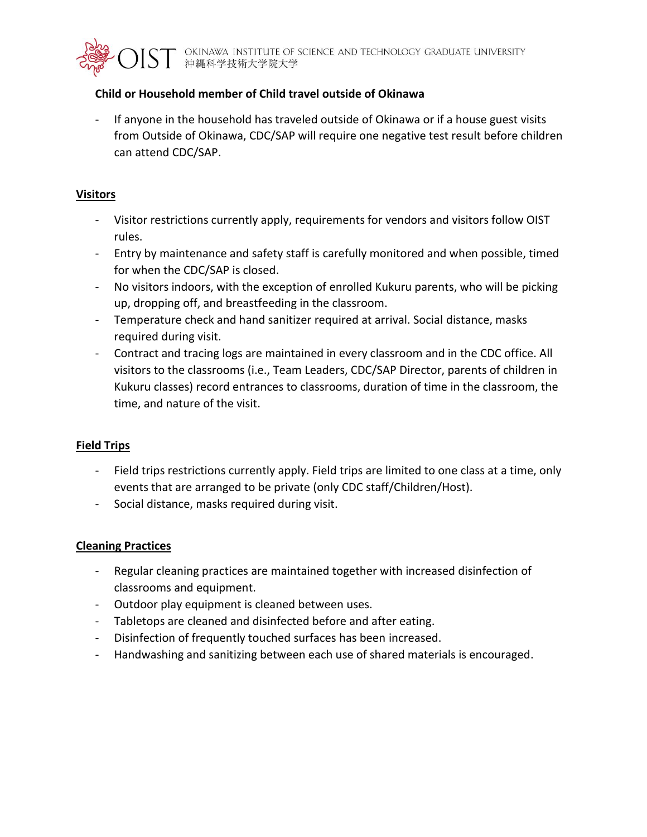

## **Child or Household member of Child travel outside of Okinawa**

If anyone in the household has traveled outside of Okinawa or if a house guest visits from Outside of Okinawa, CDC/SAP will require one negative test result before children can attend CDC/SAP.

## **Visitors**

- Visitor restrictions currently apply, requirements for vendors and visitors follow OIST rules.
- Entry by maintenance and safety staff is carefully monitored and when possible, timed for when the CDC/SAP is closed.
- No visitors indoors, with the exception of enrolled Kukuru parents, who will be picking up, dropping off, and breastfeeding in the classroom.
- Temperature check and hand sanitizer required at arrival. Social distance, masks required during visit.
- Contract and tracing logs are maintained in every classroom and in the CDC office. All visitors to the classrooms (i.e., Team Leaders, CDC/SAP Director, parents of children in Kukuru classes) record entrances to classrooms, duration of time in the classroom, the time, and nature of the visit.

## **Field Trips**

- Field trips restrictions currently apply. Field trips are limited to one class at a time, only events that are arranged to be private (only CDC staff/Children/Host).
- Social distance, masks required during visit.

## **Cleaning Practices**

- Regular cleaning practices are maintained together with increased disinfection of classrooms and equipment.
- Outdoor play equipment is cleaned between uses.
- Tabletops are cleaned and disinfected before and after eating.
- Disinfection of frequently touched surfaces has been increased.
- Handwashing and sanitizing between each use of shared materials is encouraged.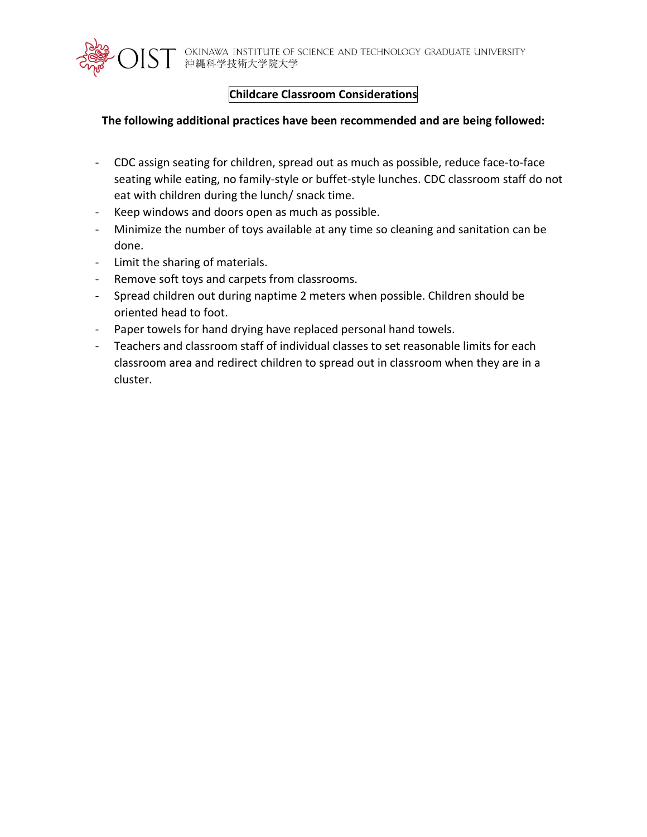

# **Childcare Classroom Considerations**

## **The following additional practices have been recommended and are being followed:**

- CDC assign seating for children, spread out as much as possible, reduce face-to-face seating while eating, no family-style or buffet-style lunches. CDC classroom staff do not eat with children during the lunch/ snack time.
- Keep windows and doors open as much as possible.
- Minimize the number of toys available at any time so cleaning and sanitation can be done.
- Limit the sharing of materials.
- Remove soft toys and carpets from classrooms.
- Spread children out during naptime 2 meters when possible. Children should be oriented head to foot.
- Paper towels for hand drying have replaced personal hand towels.
- Teachers and classroom staff of individual classes to set reasonable limits for each classroom area and redirect children to spread out in classroom when they are in a cluster.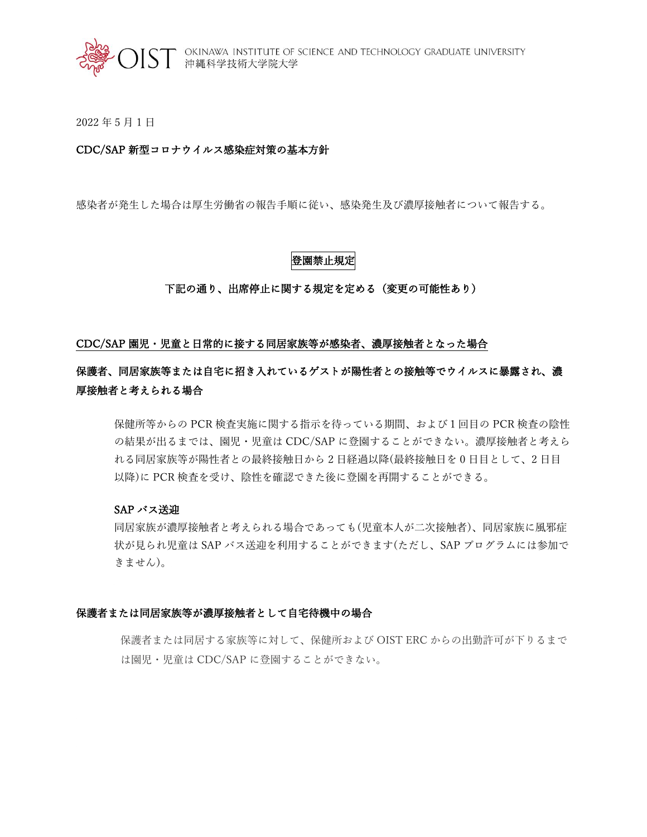

2022 年 5 月 1 日

### CDC/SAP 新型コロナウイルス感染症対策の基本方針

感染者が発生した場合は厚生労働省の報告手順に従い、感染発生及び濃厚接触者について報告する。

### 登園禁止規定

#### 下記の通り、出席停止に関する規定を定める(変更の可能性あり)

### CDC/SAP 園児・児童と日常的に接する同居家族等が感染者、濃厚接触者となった場合

# 保護者、同居家族等または自宅に招き入れているゲストが陽性者との接触等でウイルスに暴露され、濃 厚接触者と考えられる場合

保健所等からの PCR 検査実施に関する指示を待っている期間、および1回目の PCR 検査の陰性 の結果が出るまでは、園児・児童は CDC/SAP に登園することができない。濃厚接触者と考えら れる同居家族等が陽性者との最終接触日から 2 日経過以降(最終接触日を 0 日目として、2 日目 以降)に PCR 検査を受け、陰性を確認できた後に登園を再開することができる。

#### SAP バス送迎

同居家族が濃厚接触者と考えられる場合であっても(児童本人が二次接触者)、同居家族に風邪症 状が見られ児童は SAP バス送迎を利用することができます(ただし、SAP プログラムには参加で きません)。

#### 保護者または同居家族等が濃厚接触者として自宅待機中の場合

保護者または同居する家族等に対して、保健所および OIST ERC からの出勤許可が下りるまで は園児・児童は CDC/SAP に登園することができない。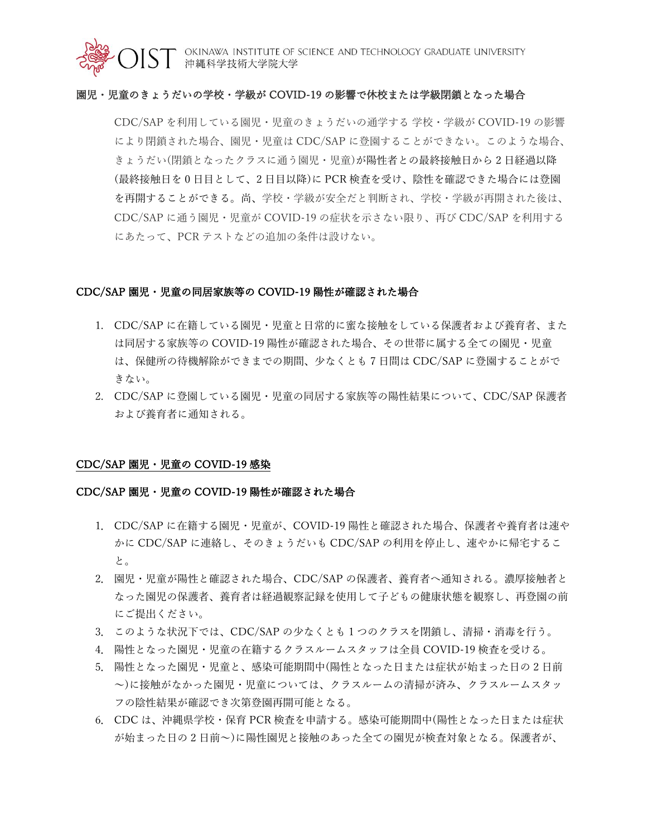

OKINAWA INSTITUTE OF SCIENCE AND TECHNOLOGY GRADUATE UNIVERSITY<br>沖縄科学技術大学院大学

#### 園児・児童のきょうだいの学校・学級が COVID-19 の影響で休校または学級閉鎖となった場合

CDC/SAP を利用している園児・児童のきょうだいの通学する 学校・学級が COVID-19 の影響 により閉鎖された場合、園児・児童は CDC/SAP に登園することができない。このような場合、 きょうだい(閉鎖となったクラスに通う園児・児童)が陽性者との最終接触日から 2 日経過以降 (最終接触日を 0 日目として、2 日目以降)に PCR 検査を受け、陰性を確認できた場合には登園 を再開することができる。尚、学校・学級が安全だと判断され、学校・学級が再開された後は、 CDC/SAP に通う園児・児童が COVID-19 の症状を示さない限り、再び CDC/SAP を利用する にあたって、PCR テストなどの追加の条件は設けない。

#### CDC/SAP 園児・児童の同居家族等の COVID-19 陽性が確認された場合

- 1. CDC/SAP に在籍している園児・児童と日常的に蜜な接触をしている保護者および養育者、また は同居する家族等の COVID-19 陽性が確認された場合、その世帯に属する全ての園児・児童 は、保健所の待機解除ができまでの期間、少なくとも 7 日間は CDC/SAP に登園することがで きない。
- 2. CDC/SAP に登園している園児・児童の同居する家族等の陽性結果について、CDC/SAP 保護者 および養育者に通知される。

#### CDC/SAP 園児・児童の COVID-19 感染

#### CDC/SAP 園児・児童の COVID-19 陽性が確認された場合

- 1. CDC/SAP に在籍する園児・児童が、COVID-19 陽性と確認された場合、保護者や養育者は速や かに CDC/SAP に連絡し、そのきょうだいも CDC/SAP の利用を停止し、速やかに帰宅するこ と。
- 2. 園児・児童が陽性と確認された場合、CDC/SAP の保護者、養育者へ通知される。濃厚接触者と なった園児の保護者、養育者は経過観察記録を使用して子どもの健康状態を観察し、再登園の前 にご提出ください。
- 3. このような状況下では、CDC/SAP の少なくとも 1 つのクラスを閉鎖し、清掃・消毒を行う。
- 4. 陽性となった園児・児童の在籍するクラスルームスタッフは全員 COVID-19 検査を受ける。
- 5. 陽性となった園児・児童と、感染可能期間中(陽性となった日または症状が始まった日の 2 日前 ~)に接触がなかった園児・児童については、クラスルームの清掃が済み、クラスルームスタッ フの陰性結果が確認でき次第登園再開可能となる。
- 6. CDC は、沖縄県学校・保育 PCR 検査を申請する。感染可能期間中(陽性となった日または症状 が始まった日の 2 日前~)に陽性園児と接触のあった全ての園児が検査対象となる。保護者が、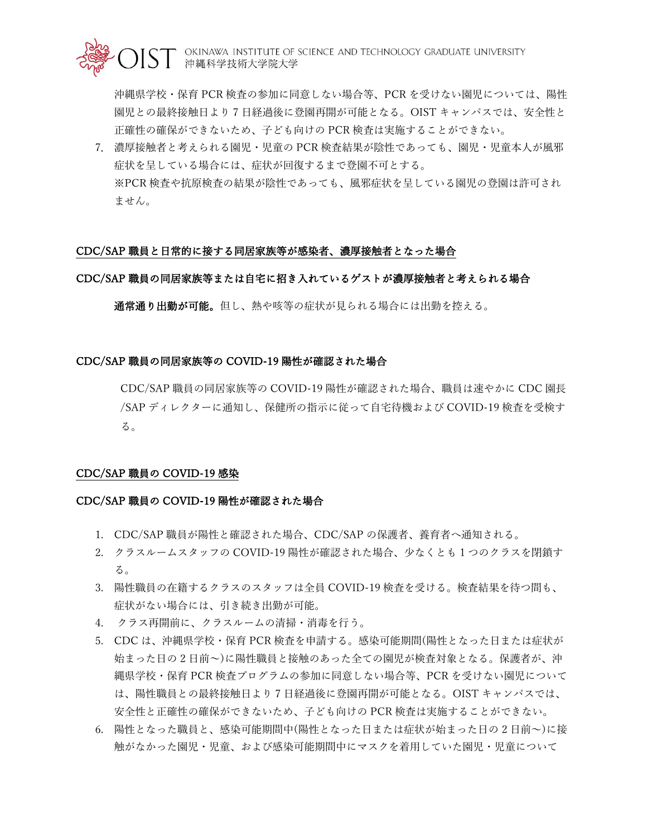

沖縄県学校・保育 PCR 検査の参加に同意しない場合等、PCR を受けない園児については、陽性 園児との最終接触日より 7 日経過後に登園再開が可能となる。OIST キャンパスでは、安全性と 正確性の確保ができないため、子ども向けの PCR 検査は実施することができない。

7. 濃厚接触者と考えられる園児・児童の PCR 検査結果が陰性であっても、園児・児童本人が風邪 症状を呈している場合には、症状が回復するまで登園不可とする。 ※PCR 検査や抗原検査の結果が陰性であっても、風邪症状を呈している園児の登園は許可され ません。

### CDC/SAP 職員と日常的に接する同居家族等が感染者、濃厚接触者となった場合

### CDC/SAP 職員の同居家族等または自宅に招き入れているゲストが濃厚接触者と考えられる場合

通常通り出勤が可能。但し、熱や咳等の症状が見られる場合には出勤を控える。

#### CDC/SAP 職員の同居家族等の COVID-19 陽性が確認された場合

CDC/SAP 職員の同居家族等の COVID-19 陽性が確認された場合、職員は速やかに CDC 園長 /SAP ディレクターに通知し、保健所の指示に従って自宅待機および COVID-19 検査を受検す る。

#### CDC/SAP 職員の COVID-19 感染

#### CDC/SAP 職員の COVID-19 陽性が確認された場合

- 1. CDC/SAP 職員が陽性と確認された場合、CDC/SAP の保護者、養育者へ通知される。
- 2. クラスルームスタッフの COVID-19 陽性が確認された場合、少なくとも 1 つのクラスを閉鎖す る。
- 3. 陽性職員の在籍するクラスのスタッフは全員 COVID-19 検査を受ける。検査結果を待つ間も、 症状がない場合には、引き続き出勤が可能。
- 4. クラス再開前に、クラスルームの清掃・消毒を行う。
- 5. CDC は、沖縄県学校・保育 PCR 検査を申請する。感染可能期間(陽性となった日または症状が 始まった日の 2 日前~)に陽性職員と接触のあった全ての園児が検査対象となる。保護者が、沖 縄県学校・保育 PCR 検査プログラムの参加に同意しない場合等、PCR を受けない園児について は、陽性職員との最終接触日より 7 日経過後に登園再開が可能となる。OIST キャンパスでは、 安全性と正確性の確保ができないため、子ども向けの PCR 検査は実施することができない。
- 6. 陽性となった職員と、感染可能期間中(陽性となった日または症状が始まった日の 2 日前~)に接 触がなかった園児・児童、および感染可能期間中にマスクを着用していた園児・児童について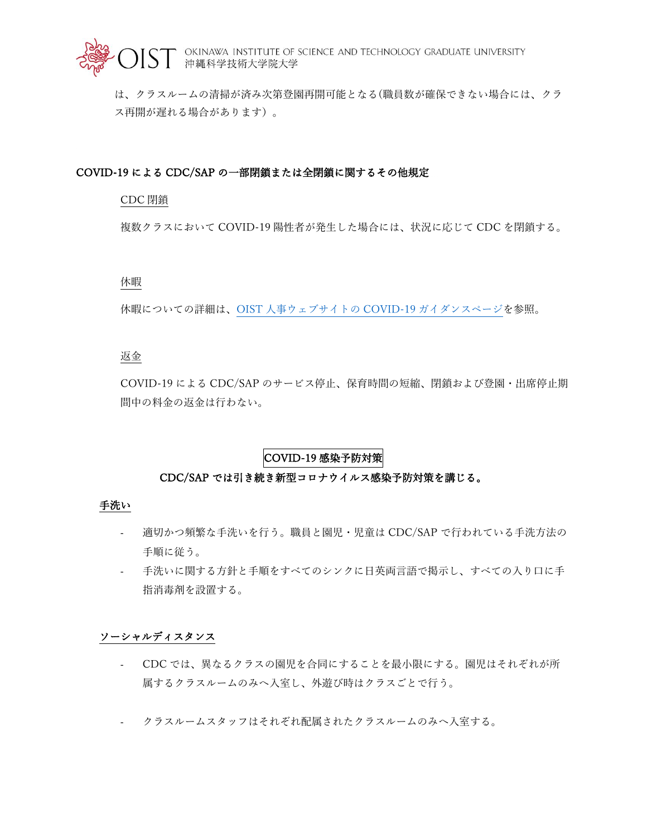

は、クラスルームの清掃が済み次第登園再開可能となる(職員数が確保できない場合には、クラ ス再開が遅れる場合があります)。

### COVID-19 による CDC/SAP の一部閉鎖または全閉鎖に関するその他規定

#### CDC 閉鎖

複数クラスにおいて COVID-19 陽性者が発生した場合には、状況に応じて CDC を閉鎖する。

#### 休暇

休暇についての詳細は、OIST [人事ウェブサイトの](https://groups.oist.jp/ja/hr) COVID-19 ガイダンスページを参照。

### 返金

COVID-19 による CDC/SAP のサービス停止、保育時間の短縮、閉鎖および登園・出席停止期 間中の料金の返金は行わない。

# COVID-19 感染予防対策

### CDC/SAP では引き続き新型コロナウイルス感染予防対策を講じる。

#### 手洗い

- 適切かつ頻繁な手洗いを行う。職員と園児・児童は CDC/SAP で行われている手洗方法の 手順に従う。
- 手洗いに関する方針と手順をすべてのシンクに日英両言語で掲示し、すべての入り口に手 指消毒剤を設置する。

#### ソーシャルディスタンス

- CDC では、異なるクラスの園児を合同にすることを最小限にする。園児はそれぞれが所 属するクラスルームのみへ入室し、外遊び時はクラスごとで行う。
- クラスルームスタッフはそれぞれ配属されたクラスルームのみへ入室する。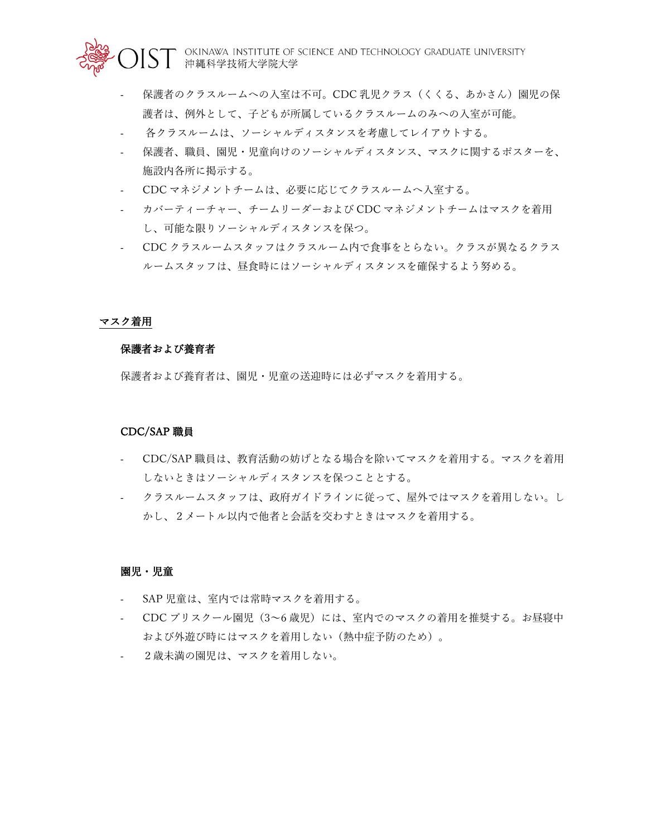OKINAWA INSTITUTE OF SCIENCE AND TECHNOLOGY GRADUATE UNIVERSITY<br>沖縄科学技術大学院大学

- 保護者のクラスルームへの入室は不可。CDC 乳児クラス(くくる、あかさん)園児の保 護者は、例外として、子どもが所属しているクラスルームのみへの入室が可能。
- 各クラスルームは、ソーシャルディスタンスを考慮してレイアウトする。
- 保護者、職員、園児・児童向けのソーシャルディスタンス、マスクに関するポスターを、 施設内各所に掲示する。
- CDC マネジメントチームは、必要に応じてクラスルームへ入室する。
- カバーティーチャー、チームリーダーおよび CDC マネジメントチームはマスクを着用 し、可能な限りソーシャルディスタンスを保つ。
- CDC クラスルームスタッフはクラスルーム内で食事をとらない。クラスが異なるクラス ルームスタッフは、昼食時にはソーシャルディスタンスを確保するよう努める。

#### マスク着用

#### 保護者および養育者

保護者および養育者は、園児・児童の送迎時には必ずマスクを着用する。

#### CDC/SAP 職員

- CDC/SAP 職員は、教育活動の妨げとなる場合を除いてマスクを着用する。マスクを着用 しないときはソーシャルディスタンスを保つこととする。
- クラスルームスタッフは、政府ガイドラインに従って、屋外ではマスクを着用しない。し かし、2メートル以内で他者と会話を交わすときはマスクを着用する。

#### 園児・児童

- SAP 児童は、室内では常時マスクを着用する。
- CDC プリスクール園児 (3~6 歳児) には、室内でのマスクの着用を推奨する。お昼寝中 および外遊び時にはマスクを着用しない(熱中症予防のため)。
- 2歳未満の園児は、マスクを着用しない。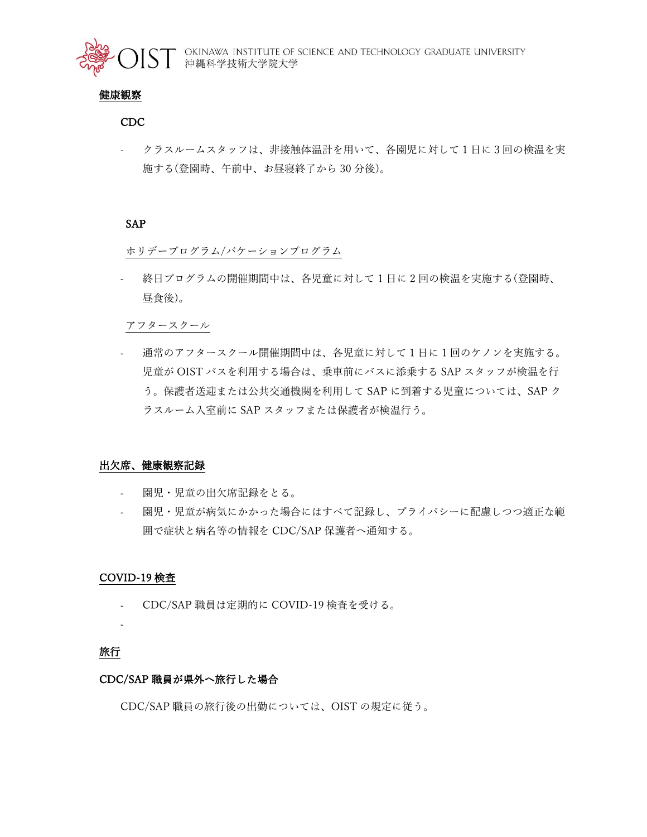

### 健康観察

### CDC

- クラスルームスタッフは、非接触体温計を用いて、各園児に対して 1 日に3回の検温を実 施する(登園時、午前中、お昼寝終了から 30 分後)。

### SAP

ホリデープログラム/バケーションプログラム

- 終日プログラムの開催期間中は、各児童に対して 1 日に 2 回の検温を実施する(登園時、 昼食後)。

アフタースクール

- 通常のアフタースクール開催期間中は、各児童に対して 1 日に 1 回のケノンを実施する。 児童が OIST バスを利用する場合は、乗車前にバスに添乗する SAP スタッフが検温を行 う。保護者送迎または公共交通機関を利用して SAP に到着する児童については、SAP ク ラスルーム入室前に SAP スタッフまたは保護者が検温行う。

### 出欠席、健康観察記録

- 園児・児童の出欠席記録をとる。
- 園児・児童が病気にかかった場合にはすべて記録し、プライバシーに配慮しつつ適正な範 囲で症状と病名等の情報を CDC/SAP 保護者へ通知する。

### COVID-19 検査

- CDC/SAP 職員は定期的に COVID-19 検査を受ける。
- -

## 旅行

### CDC/SAP 職員が県外へ旅行した場合

CDC/SAP 職員の旅行後の出勤については、OIST の規定に従う。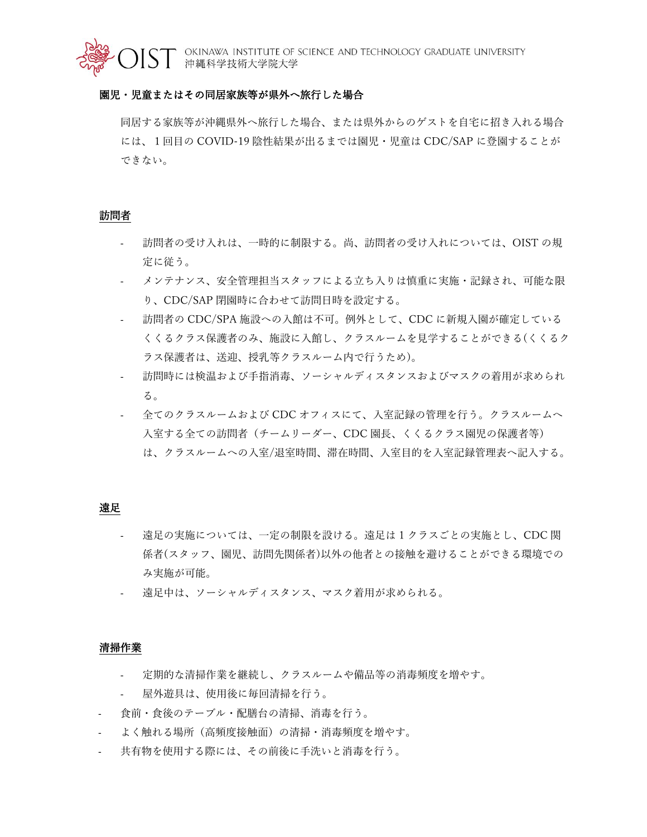

### 園児・児童またはその同居家族等が県外へ旅行した場合

同居する家族等が沖縄県外へ旅行した場合、または県外からのゲストを自宅に招き入れる場合 には、1回目の COVID-19 陰性結果が出るまでは園児・児童は CDC/SAP に登園することが できない。

#### 訪問者

- 訪問者の受け入れは、一時的に制限する。尚、訪問者の受け入れについては、OIST の規 定に従う。
- メンテナンス、安全管理担当スタッフによる立ち入りは慎重に実施・記録され、可能な限 り、CDC/SAP 閉園時に合わせて訪問日時を設定する。
- 訪問者の CDC/SPA 施設への入館は不可。例外として、CDC に新規入園が確定している くくるクラス保護者のみ、施設に入館し、クラスルームを見学することができる(くくるク ラス保護者は、送迎、授乳等クラスルーム内で行うため)。
- 訪問時には検温および手指消毒、ソーシャルディスタンスおよびマスクの着用が求められ る。
- 全てのクラスルームおよび CDC オフィスにて、入室記録の管理を行う。クラスルームへ 入室する全ての訪問者(チームリーダー、CDC 園長、くくるクラス園児の保護者等) は、クラスルームへの入室/退室時間、滞在時間、入室目的を入室記録管理表へ記入する。

#### 遠足

- 遠足の実施については、一定の制限を設ける。遠足は 1 クラスごとの実施とし、CDC 関 係者(スタッフ、園児、訪問先関係者)以外の他者との接触を避けることができる環境での み実施が可能。
- 遠足中は、ソーシャルディスタンス、マスク着用が求められる。

#### 清掃作業

- 定期的な清掃作業を継続し、クラスルームや備品等の消毒頻度を増やす。
- 屋外遊具は、使用後に毎回清掃を行う。
- 食前・食後のテーブル・配膳台の清掃、消毒を行う。
- よく触れる場所(高頻度接触面)の清掃・消毒頻度を増やす。
- 共有物を使用する際には、その前後に手洗いと消毒を行う。